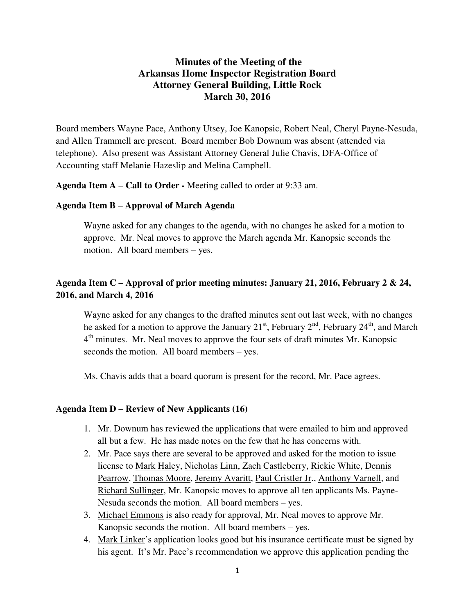# **Minutes of the Meeting of the Arkansas Home Inspector Registration Board Attorney General Building, Little Rock March 30, 2016**

Board members Wayne Pace, Anthony Utsey, Joe Kanopsic, Robert Neal, Cheryl Payne-Nesuda, and Allen Trammell are present. Board member Bob Downum was absent (attended via telephone). Also present was Assistant Attorney General Julie Chavis, DFA-Office of Accounting staff Melanie Hazeslip and Melina Campbell.

**Agenda Item A – Call to Order -** Meeting called to order at 9:33 am.

### **Agenda Item B – Approval of March Agenda**

Wayne asked for any changes to the agenda, with no changes he asked for a motion to approve. Mr. Neal moves to approve the March agenda Mr. Kanopsic seconds the motion. All board members – yes.

# **Agenda Item C – Approval of prior meeting minutes: January 21, 2016, February 2 & 24, 2016, and March 4, 2016**

Wayne asked for any changes to the drafted minutes sent out last week, with no changes he asked for a motion to approve the January  $21<sup>st</sup>$ , February  $2<sup>nd</sup>$ , February  $24<sup>th</sup>$ , and March 4<sup>th</sup> minutes. Mr. Neal moves to approve the four sets of draft minutes Mr. Kanopsic seconds the motion. All board members – yes.

Ms. Chavis adds that a [board quorum](http://www.bing.com/search?q=board+quorum&FORM=AWRE) is present for the record, Mr. Pace agrees.

### **Agenda Item D – Review of New Applicants (16)**

- 1. Mr. Downum has reviewed the applications that were emailed to him and approved all but a few. He has made notes on the few that he has concerns with.
- 2. Mr. Pace says there are several to be approved and asked for the motion to issue license to Mark Haley, Nicholas Linn, Zach Castleberry, Rickie White, Dennis Pearrow, Thomas Moore, Jeremy Avaritt, Paul Cristler Jr., Anthony Varnell, and Richard Sullinger, Mr. Kanopsic moves to approve all ten applicants Ms. Payne-Nesuda seconds the motion. All board members – yes.
- 3. Michael Emmons is also ready for approval, Mr. Neal moves to approve Mr. Kanopsic seconds the motion. All board members – yes.
- 4. Mark Linker's application looks good but his insurance certificate must be signed by his agent. It's Mr. Pace's recommendation we approve this application pending the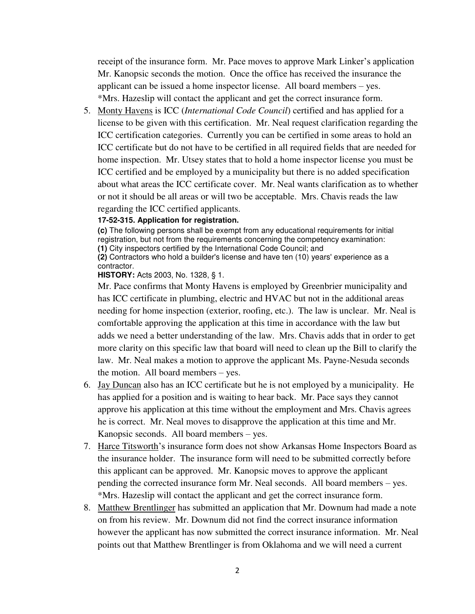receipt of the insurance form. Mr. Pace moves to approve Mark Linker's application Mr. Kanopsic seconds the motion. Once the office has received the insurance the applicant can be issued a home inspector license. All board members – yes. \*Mrs. Hazeslip will contact the applicant and get the correct insurance form.

5. Monty Havens is ICC (*International Code Council*) certified and has applied for a license to be given with this certification. Mr. Neal request clarification regarding the ICC certification categories. Currently you can be certified in some areas to hold an ICC certificate but do not have to be certified in all required fields that are needed for home inspection. Mr. Utsey states that to hold a home inspector license you must be ICC certified and be employed by a municipality but there is no added specification about what areas the ICC certificate cover. Mr. Neal wants clarification as to whether or not it should be all areas or will two be acceptable. Mrs. Chavis reads the law

regarding the ICC certified applicants.

## **17-52-315. Application for registration.**

**(c)** The following persons shall be exempt from any educational requirements for initial registration, but not from the requirements concerning the competency examination: **(1)** City inspectors certified by the International Code Council; and **(2)** Contractors who hold a builder's license and have ten (10) years' experience as a contractor.

**HISTORY: Acts 2003, No. 1328, § 1.** 

Mr. Pace confirms that Monty Havens is employed by Greenbrier municipality and has ICC certificate in plumbing, electric and HVAC but not in the additional areas needing for home inspection (exterior, roofing, etc.). The law is unclear. Mr. Neal is comfortable approving the application at this time in accordance with the law but adds we need a better understanding of the law. Mrs. Chavis adds that in order to get more clarity on this specific law that board will need to clean up the Bill to clarify the law. Mr. Neal makes a motion to approve the applicant Ms. Payne-Nesuda seconds the motion. All board members – yes.

- 6. Jay Duncan also has an ICC certificate but he is not employed by a municipality. He has applied for a position and is waiting to hear back. Mr. Pace says they cannot approve his application at this time without the employment and Mrs. Chavis agrees he is correct. Mr. Neal moves to disapprove the application at this time and Mr. Kanopsic seconds. All board members – yes.
- 7. Harce Titsworth's insurance form does not show Arkansas Home Inspectors Board as the insurance holder. The insurance form will need to be submitted correctly before this applicant can be approved. Mr. Kanopsic moves to approve the applicant pending the corrected insurance form Mr. Neal seconds. All board members – yes. \*Mrs. Hazeslip will contact the applicant and get the correct insurance form.
- 8. Matthew Brentlinger has submitted an application that Mr. Downum had made a note on from his review. Mr. Downum did not find the correct insurance information however the applicant has now submitted the correct insurance information. Mr. Neal points out that Matthew Brentlinger is from Oklahoma and we will need a current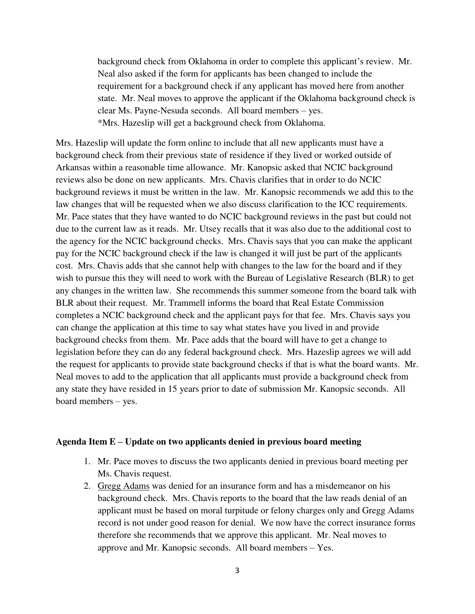background check from Oklahoma in order to complete this applicant's review. Mr. Neal also asked if the form for applicants has been changed to include the requirement for a background check if any applicant has moved here from another state. Mr. Neal moves to approve the applicant if the Oklahoma background check is clear Ms. Payne-Nesuda seconds. All board members – yes. \*Mrs. Hazeslip will get a background check from Oklahoma.

Mrs. Hazeslip will update the form online to include that all new applicants must have a background check from their previous state of residence if they lived or worked outside of Arkansas within a reasonable time allowance. Mr. Kanopsic asked that NCIC background reviews also be done on new applicants. Mrs. Chavis clarifies that in order to do NCIC background reviews it must be written in the law. Mr. Kanopsic recommends we add this to the law changes that will be requested when we also discuss clarification to the ICC requirements. Mr. Pace states that they have wanted to do NCIC background reviews in the past but could not due to the current law as it reads. Mr. Utsey recalls that it was also due to the additional cost to the agency for the NCIC background checks. Mrs. Chavis says that you can make the applicant pay for the NCIC background check if the law is changed it will just be part of the applicants cost. Mrs. Chavis adds that she cannot help with changes to the law for the board and if they wish to pursue this they will need to work with the Bureau of Legislative Research (BLR) to get any changes in the written law. She recommends this summer someone from the board talk with BLR about their request. Mr. Trammell informs the board that Real Estate Commission completes a NCIC background check and the applicant pays for that fee. Mrs. Chavis says you can change the application at this time to say what states have you lived in and provide background checks from them. Mr. Pace adds that the board will have to get a change to legislation before they can do any federal background check. Mrs. Hazeslip agrees we will add the request for applicants to provide state background checks if that is what the board wants. Mr. Neal moves to add to the application that all applicants must provide a background check from any state they have resided in 15 years prior to date of submission Mr. Kanopsic seconds. All board members – yes.

#### **Agenda Item E – Update on two applicants denied in previous board meeting**

- 1. Mr. Pace moves to discuss the two applicants denied in previous board meeting per Ms. Chavis request.
- 2. Gregg Adams was denied for an insurance form and has a misdemeanor on his background check. Mrs. Chavis reports to the board that the law reads denial of an applicant must be based on moral turpitude or felony charges only and Gregg Adams record is not under good reason for denial. We now have the correct insurance forms therefore she recommends that we approve this applicant. Mr. Neal moves to approve and Mr. Kanopsic seconds. All board members – Yes.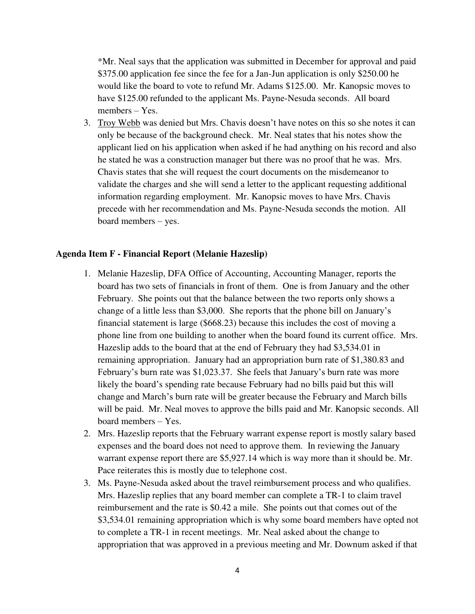\*Mr. Neal says that the application was submitted in December for approval and paid \$375.00 application fee since the fee for a Jan-Jun application is only \$250.00 he would like the board to vote to refund Mr. Adams \$125.00. Mr. Kanopsic moves to have \$125.00 refunded to the applicant Ms. Payne-Nesuda seconds. All board members – Yes.

3. Troy Webb was denied but Mrs. Chavis doesn't have notes on this so she notes it can only be because of the background check. Mr. Neal states that his notes show the applicant lied on his application when asked if he had anything on his record and also he stated he was a construction manager but there was no proof that he was. Mrs. Chavis states that she will request the court documents on the misdemeanor to validate the charges and she will send a letter to the applicant requesting additional information regarding employment. Mr. Kanopsic moves to have Mrs. Chavis precede with her recommendation and Ms. Payne-Nesuda seconds the motion. All board members – yes.

### **Agenda Item F - Financial Report (Melanie Hazeslip)**

- 1. Melanie Hazeslip, DFA Office of Accounting, Accounting Manager, reports the board has two sets of financials in front of them. One is from January and the other February. She points out that the balance between the two reports only shows a change of a little less than \$3,000. She reports that the phone bill on January's financial statement is large (\$668.23) because this includes the cost of moving a phone line from one building to another when the board found its current office. Mrs. Hazeslip adds to the board that at the end of February they had \$3,534.01 in remaining appropriation. January had an appropriation burn rate of \$1,380.83 and February's burn rate was \$1,023.37. She feels that January's burn rate was more likely the board's spending rate because February had no bills paid but this will change and March's burn rate will be greater because the February and March bills will be paid. Mr. Neal moves to approve the bills paid and Mr. Kanopsic seconds. All board members – Yes.
- 2. Mrs. Hazeslip reports that the February warrant expense report is mostly salary based expenses and the board does not need to approve them. In reviewing the January warrant expense report there are \$5,927.14 which is way more than it should be. Mr. Pace reiterates this is mostly due to telephone cost.
- 3. Ms. Payne-Nesuda asked about the travel reimbursement process and who qualifies. Mrs. Hazeslip replies that any board member can complete a TR-1 to claim travel reimbursement and the rate is \$0.42 a mile. She points out that comes out of the \$3,534.01 remaining appropriation which is why some board members have opted not to complete a TR-1 in recent meetings. Mr. Neal asked about the change to appropriation that was approved in a previous meeting and Mr. Downum asked if that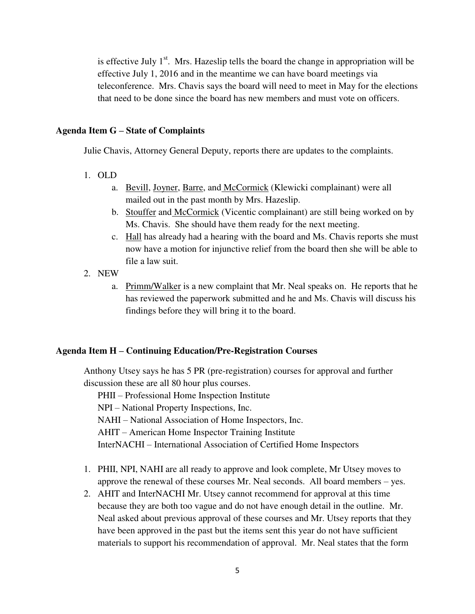is effective July  $1<sup>st</sup>$ . Mrs. Hazeslip tells the board the change in appropriation will be effective July 1, 2016 and in the meantime we can have board meetings via teleconference. Mrs. Chavis says the board will need to meet in May for the elections that need to be done since the board has new members and must vote on officers.

## **Agenda Item G – State of Complaints**

Julie Chavis, Attorney General Deputy, reports there are updates to the complaints.

- 1. OLD
	- a. Bevill, Joyner, Barre, and McCormick (Klewicki complainant) were all mailed out in the past month by Mrs. Hazeslip.
	- b. Stouffer and McCormick (Vicentic complainant) are still being worked on by Ms. Chavis. She should have them ready for the next meeting.
	- c. Hall has already had a hearing with the board and Ms. Chavis reports she must now have a motion for injunctive relief from the board then she will be able to file a law suit.
- 2. NEW
	- a. Primm/Walker is a new complaint that Mr. Neal speaks on. He reports that he has reviewed the paperwork submitted and he and Ms. Chavis will discuss his findings before they will bring it to the board.

### **Agenda Item H – Continuing Education/Pre-Registration Courses**

Anthony Utsey says he has 5 PR (pre-registration) courses for approval and further discussion these are all 80 hour plus courses.

PHII – Professional Home Inspection Institute

NPI – National Property Inspections, Inc.

NAHI – National Association of Home Inspectors, Inc.

AHIT – American Home Inspector Training Institute

InterNACHI – International Association of Certified Home Inspectors

- 1. PHII, NPI, NAHI are all ready to approve and look complete, Mr Utsey moves to approve the renewal of these courses Mr. Neal seconds. All board members – yes.
- 2. AHIT and InterNACHI Mr. Utsey cannot recommend for approval at this time because they are both too vague and do not have enough detail in the outline. Mr. Neal asked about previous approval of these courses and Mr. Utsey reports that they have been approved in the past but the items sent this year do not have sufficient materials to support his recommendation of approval. Mr. Neal states that the form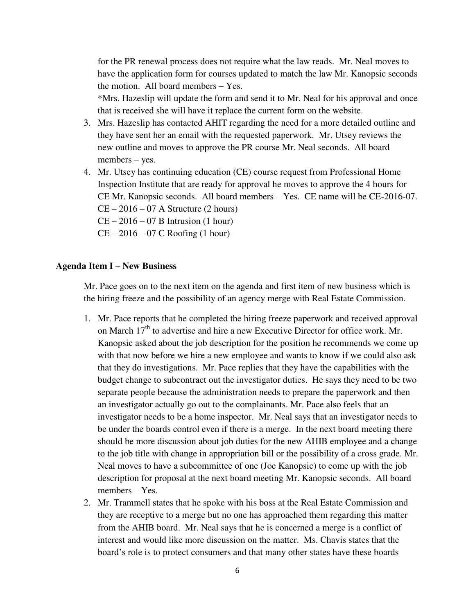for the PR renewal process does not require what the law reads. Mr. Neal moves to have the application form for courses updated to match the law Mr. Kanopsic seconds the motion. All board members – Yes.

\*Mrs. Hazeslip will update the form and send it to Mr. Neal for his approval and once that is received she will have it replace the current form on the website.

- 3. Mrs. Hazeslip has contacted AHIT regarding the need for a more detailed outline and they have sent her an email with the requested paperwork. Mr. Utsey reviews the new outline and moves to approve the PR course Mr. Neal seconds. All board members – yes.
- 4. Mr. Utsey has continuing education (CE) course request from Professional Home Inspection Institute that are ready for approval he moves to approve the 4 hours for CE Mr. Kanopsic seconds. All board members – Yes. CE name will be CE-2016-07.  $CE - 2016 - 07$  A Structure (2 hours)  $CE - 2016 - 07$  B Intrusion (1 hour)  $CE - 2016 - 07$  C Roofing (1 hour)

#### **Agenda Item I – New Business**

Mr. Pace goes on to the next item on the agenda and first item of new business which is the hiring freeze and the possibility of an agency merge with Real Estate Commission.

- 1. Mr. Pace reports that he completed the hiring freeze paperwork and received approval on March 17<sup>th</sup> to advertise and hire a new Executive Director for office work. Mr. Kanopsic asked about the job description for the position he recommends we come up with that now before we hire a new employee and wants to know if we could also ask that they do investigations. Mr. Pace replies that they have the capabilities with the budget change to subcontract out the investigator duties. He says they need to be two separate people because the administration needs to prepare the paperwork and then an investigator actually go out to the complainants. Mr. Pace also feels that an investigator needs to be a home inspector. Mr. Neal says that an investigator needs to be under the boards control even if there is a merge. In the next board meeting there should be more discussion about job duties for the new AHIB employee and a change to the job title with change in appropriation bill or the possibility of a cross grade. Mr. Neal moves to have a subcommittee of one (Joe Kanopsic) to come up with the job description for proposal at the next board meeting Mr. Kanopsic seconds. All board members – Yes.
- 2. Mr. Trammell states that he spoke with his boss at the Real Estate Commission and they are receptive to a merge but no one has approached them regarding this matter from the AHIB board. Mr. Neal says that he is concerned a merge is a conflict of interest and would like more discussion on the matter. Ms. Chavis states that the board's role is to protect consumers and that many other states have these boards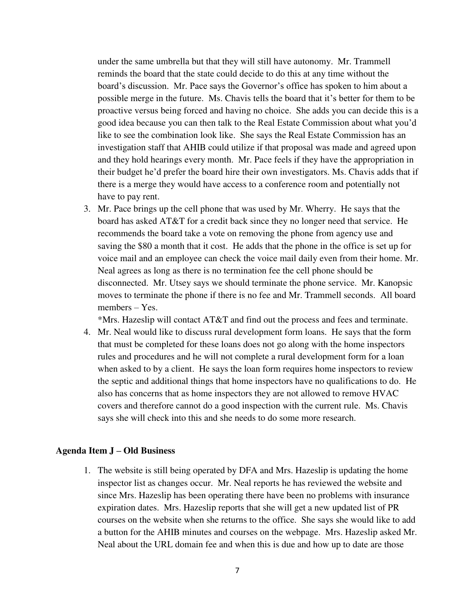under the same umbrella but that they will still have autonomy. Mr. Trammell reminds the board that the state could decide to do this at any time without the board's discussion. Mr. Pace says the Governor's office has spoken to him about a possible merge in the future. Ms. Chavis tells the board that it's better for them to be proactive versus being forced and having no choice. She adds you can decide this is a good idea because you can then talk to the Real Estate Commission about what you'd like to see the combination look like. She says the Real Estate Commission has an investigation staff that AHIB could utilize if that proposal was made and agreed upon and they hold hearings every month. Mr. Pace feels if they have the appropriation in their budget he'd prefer the board hire their own investigators. Ms. Chavis adds that if there is a merge they would have access to a conference room and potentially not have to pay rent.

3. Mr. Pace brings up the cell phone that was used by Mr. Wherry. He says that the board has asked AT&T for a credit back since they no longer need that service. He recommends the board take a vote on removing the phone from agency use and saving the \$80 a month that it cost. He adds that the phone in the office is set up for voice mail and an employee can check the voice mail daily even from their home. Mr. Neal agrees as long as there is no termination fee the cell phone should be disconnected. Mr. Utsey says we should terminate the phone service. Mr. Kanopsic moves to terminate the phone if there is no fee and Mr. Trammell seconds. All board members – Yes.

\*Mrs. Hazeslip will contact AT&T and find out the process and fees and terminate.

4. Mr. Neal would like to discuss rural development form loans. He says that the form that must be completed for these loans does not go along with the home inspectors rules and procedures and he will not complete a rural development form for a loan when asked to by a client. He says the loan form requires home inspectors to review the septic and additional things that home inspectors have no qualifications to do. He also has concerns that as home inspectors they are not allowed to remove HVAC covers and therefore cannot do a good inspection with the current rule. Ms. Chavis says she will check into this and she needs to do some more research.

### **Agenda Item J – Old Business**

1. The website is still being operated by DFA and Mrs. Hazeslip is updating the home inspector list as changes occur. Mr. Neal reports he has reviewed the website and since Mrs. Hazeslip has been operating there have been no problems with insurance expiration dates. Mrs. Hazeslip reports that she will get a new updated list of PR courses on the website when she returns to the office. She says she would like to add a button for the AHIB minutes and courses on the webpage. Mrs. Hazeslip asked Mr. Neal about the URL domain fee and when this is due and how up to date are those